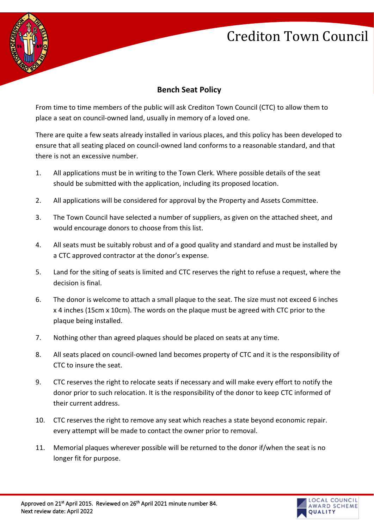## Crediton Town Council



## **Bench Seat Policy**

From time to time members of the public will ask Crediton Town Council (CTC) to allow them to place a seat on council-owned land, usually in memory of a loved one.

There are quite a few seats already installed in various places, and this policy has been developed to ensure that all seating placed on council-owned land conforms to a reasonable standard, and that there is not an excessive number.

- 1. All applications must be in writing to the Town Clerk. Where possible details of the seat should be submitted with the application, including its proposed location.
- 2. All applications will be considered for approval by the Property and Assets Committee.
- 3. The Town Council have selected a number of suppliers, as given on the attached sheet, and would encourage donors to choose from this list.
- 4. All seats must be suitably robust and of a good quality and standard and must be installed by a CTC approved contractor at the donor's expense.
- 5. Land for the siting of seats is limited and CTC reserves the right to refuse a request, where the decision is final.
- 6. The donor is welcome to attach a small plaque to the seat. The size must not exceed 6 inches x 4 inches (15cm x 10cm). The words on the plaque must be agreed with CTC prior to the plaque being installed.
- 7. Nothing other than agreed plaques should be placed on seats at any time.
- 8. All seats placed on council-owned land becomes property of CTC and it is the responsibility of CTC to insure the seat.
- 9. CTC reserves the right to relocate seats if necessary and will make every effort to notify the donor prior to such relocation. It is the responsibility of the donor to keep CTC informed of their current address.
- 10. CTC reserves the right to remove any seat which reaches a state beyond economic repair. every attempt will be made to contact the owner prior to removal.
- 11. Memorial plaques wherever possible will be returned to the donor if/when the seat is no longer fit for purpose.